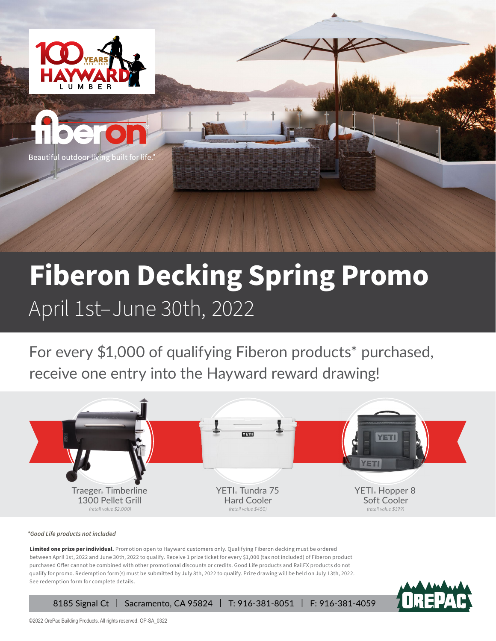

# **Fiberon Decking Spring Promo**  April 1st–June 30th, 2022

For every \$1,000 of qualifying Fiberon products\* purchased, receive one entry into the Hayward reward drawing!



*\*Good Life products not included* 

Limited one prize per individual**.** Promotion open to Hayward customers only. Qualifying Fiberon decking must be ordered between April 1st, 2022 and June 30th, 2022 to qualify. Receive 1 prize ticket for every \$1,000 (tax not included) of Fiberon product purchased Offer cannot be combined with other promotional discounts or credits. Good Life products and RailFX products do not qualify for promo. Redemption form(s) must be submitted by July 8th, 2022 to qualify. Prize drawing will be held on July 13th, 2022. See redemption form for complete details.

8185 Signal Ct | Sacramento, CA 95824 | T: 916-381-8051 | F: 916-381-4059